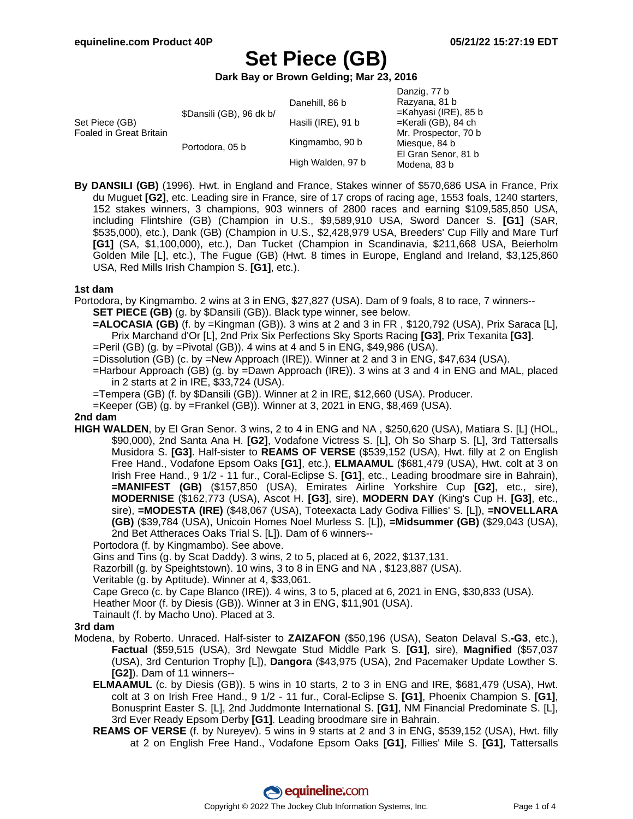**Dark Bay or Brown Gelding; Mar 23, 2016**

| Set Piece (GB)<br>Foaled in Great Britain | \$Dansili (GB), 96 dk b/ | Danehill, 86 b     | Danzig, 77 b<br>Razyana, 81 b<br>$=$ Kahyasi (IRE), 85 b                     |
|-------------------------------------------|--------------------------|--------------------|------------------------------------------------------------------------------|
|                                           |                          | Hasili (IRE), 91 b | $=$ Kerali (GB), 84 ch                                                       |
|                                           | Portodora, 05 b          | Kingmambo, 90 b    | Mr. Prospector, 70 b<br>Miesque, 84 b<br>El Gran Senor, 81 b<br>Modena, 83 b |
|                                           |                          | High Walden, 97 b  |                                                                              |

**By DANSILI (GB)** (1996). Hwt. in England and France, Stakes winner of \$570,686 USA in France, Prix du Muguet **[G2]**, etc. Leading sire in France, sire of 17 crops of racing age, 1553 foals, 1240 starters, 152 stakes winners, 3 champions, 903 winners of 2800 races and earning \$109,585,850 USA, including Flintshire (GB) (Champion in U.S., \$9,589,910 USA, Sword Dancer S. **[G1]** (SAR, \$535,000), etc.), Dank (GB) (Champion in U.S., \$2,428,979 USA, Breeders' Cup Filly and Mare Turf **[G1]** (SA, \$1,100,000), etc.), Dan Tucket (Champion in Scandinavia, \$211,668 USA, Beierholm Golden Mile [L], etc.), The Fugue (GB) (Hwt. 8 times in Europe, England and Ireland, \$3,125,860 USA, Red Mills Irish Champion S. **[G1]**, etc.).

#### **1st dam**

- Portodora, by Kingmambo. 2 wins at 3 in ENG, \$27,827 (USA). Dam of 9 foals, 8 to race, 7 winners-- **SET PIECE (GB)** (g. by \$Dansili (GB)). Black type winner, see below.
	- **=ALOCASIA (GB)** (f. by =Kingman (GB)). 3 wins at 2 and 3 in FR , \$120,792 (USA), Prix Saraca [L], Prix Marchand d'Or [L], 2nd Prix Six Perfections Sky Sports Racing **[G3]**, Prix Texanita **[G3]**.
	- $=$ Peril (GB) (g. by  $=$ Pivotal (GB)). 4 wins at 4 and 5 in ENG, \$49,986 (USA).
	- =Dissolution (GB) (c. by =New Approach (IRE)). Winner at 2 and 3 in ENG, \$47,634 (USA).
	- =Harbour Approach (GB) (g. by =Dawn Approach (IRE)). 3 wins at 3 and 4 in ENG and MAL, placed in 2 starts at 2 in IRE, \$33,724 (USA).
	- =Tempera (GB) (f. by \$Dansili (GB)). Winner at 2 in IRE, \$12,660 (USA). Producer.
	- =Keeper (GB) (g. by =Frankel (GB)). Winner at 3, 2021 in ENG, \$8,469 (USA).

#### **2nd dam**

**HIGH WALDEN**, by El Gran Senor. 3 wins, 2 to 4 in ENG and NA , \$250,620 (USA), Matiara S. [L] (HOL, \$90,000), 2nd Santa Ana H. **[G2]**, Vodafone Victress S. [L], Oh So Sharp S. [L], 3rd Tattersalls Musidora S. **[G3]**. Half-sister to **REAMS OF VERSE** (\$539,152 (USA), Hwt. filly at 2 on English Free Hand., Vodafone Epsom Oaks **[G1]**, etc.), **ELMAAMUL** (\$681,479 (USA), Hwt. colt at 3 on Irish Free Hand., 9 1/2 - 11 fur., Coral-Eclipse S. **[G1]**, etc., Leading broodmare sire in Bahrain), **=MANIFEST (GB)** (\$157,850 (USA), Emirates Airline Yorkshire Cup **[G2]**, etc., sire), **MODERNISE** (\$162,773 (USA), Ascot H. **[G3]**, sire), **MODERN DAY** (King's Cup H. **[G3]**, etc., sire), **=MODESTA (IRE)** (\$48,067 (USA), Toteexacta Lady Godiva Fillies' S. [L]), **=NOVELLARA (GB)** (\$39,784 (USA), Unicoin Homes Noel Murless S. [L]), **=Midsummer (GB)** (\$29,043 (USA), 2nd Bet Attheraces Oaks Trial S. [L]). Dam of 6 winners--

Portodora (f. by Kingmambo). See above.

Gins and Tins (g. by Scat Daddy). 3 wins, 2 to 5, placed at 6, 2022, \$137,131.

Razorbill (g. by Speightstown). 10 wins, 3 to 8 in ENG and NA , \$123,887 (USA).

Veritable (g. by Aptitude). Winner at 4, \$33,061.

Cape Greco (c. by Cape Blanco (IRE)). 4 wins, 3 to 5, placed at 6, 2021 in ENG, \$30,833 (USA).

Heather Moor (f. by Diesis (GB)). Winner at 3 in ENG, \$11,901 (USA).

Tainault (f. by Macho Uno). Placed at 3.

### **3rd dam**

- Modena, by Roberto. Unraced. Half-sister to **ZAIZAFON** (\$50,196 (USA), Seaton Delaval S.**-G3**, etc.), **Factual** (\$59,515 (USA), 3rd Newgate Stud Middle Park S. **[G1]**, sire), **Magnified** (\$57,037 (USA), 3rd Centurion Trophy [L]), **Dangora** (\$43,975 (USA), 2nd Pacemaker Update Lowther S. **[G2]**). Dam of 11 winners--
	- **ELMAAMUL** (c. by Diesis (GB)). 5 wins in 10 starts, 2 to 3 in ENG and IRE, \$681,479 (USA), Hwt. colt at 3 on Irish Free Hand., 9 1/2 - 11 fur., Coral-Eclipse S. **[G1]**, Phoenix Champion S. **[G1]**, Bonusprint Easter S. [L], 2nd Juddmonte International S. **[G1]**, NM Financial Predominate S. [L], 3rd Ever Ready Epsom Derby **[G1]**. Leading broodmare sire in Bahrain.
	- **REAMS OF VERSE** (f. by Nureyev). 5 wins in 9 starts at 2 and 3 in ENG, \$539,152 (USA), Hwt. filly at 2 on English Free Hand., Vodafone Epsom Oaks **[G1]**, Fillies' Mile S. **[G1]**, Tattersalls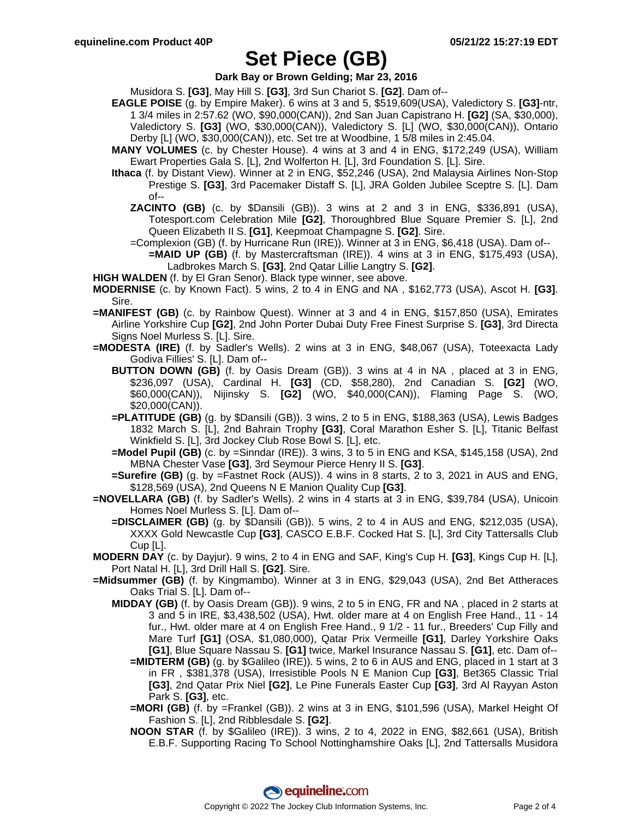**Dark Bay or Brown Gelding; Mar 23, 2016**

- Musidora S. **[G3]**, May Hill S. **[G3]**, 3rd Sun Chariot S. **[G2]**. Dam of--
- **EAGLE POISE** (g. by Empire Maker). 6 wins at 3 and 5, \$519,609(USA), Valedictory S. **[G3]**-ntr, 1 3/4 miles in 2:57.62 (WO, \$90,000(CAN)), 2nd San Juan Capistrano H. **[G2]** (SA, \$30,000), Valedictory S. **[G3]** (WO, \$30,000(CAN)), Valedictory S. [L] (WO, \$30,000(CAN)), Ontario Derby [L] (WO, \$30,000(CAN)), etc. Set tre at Woodbine, 1 5/8 miles in 2:45.04.
- **MANY VOLUMES** (c. by Chester House). 4 wins at 3 and 4 in ENG, \$172,249 (USA), William Ewart Properties Gala S. [L], 2nd Wolferton H. [L], 3rd Foundation S. [L]. Sire.
- **Ithaca** (f. by Distant View). Winner at 2 in ENG, \$52,246 (USA), 2nd Malaysia Airlines Non-Stop Prestige S. **[G3]**, 3rd Pacemaker Distaff S. [L], JRA Golden Jubilee Sceptre S. [L]. Dam of--
	- **ZACINTO (GB)** (c. by \$Dansili (GB)). 3 wins at 2 and 3 in ENG, \$336,891 (USA), Totesport.com Celebration Mile **[G2]**, Thoroughbred Blue Square Premier S. [L], 2nd Queen Elizabeth II S. **[G1]**, Keepmoat Champagne S. **[G2]**. Sire.
	- =Complexion (GB) (f. by Hurricane Run (IRE)). Winner at 3 in ENG, \$6,418 (USA). Dam of--
		- **=MAID UP (GB)** (f. by Mastercraftsman (IRE)). 4 wins at 3 in ENG, \$175,493 (USA), Ladbrokes March S. **[G3]**, 2nd Qatar Lillie Langtry S. **[G2]**.
- **HIGH WALDEN** (f. by El Gran Senor). Black type winner, see above.
- **MODERNISE** (c. by Known Fact). 5 wins, 2 to 4 in ENG and NA , \$162,773 (USA), Ascot H. **[G3]**. Sire.
- **=MANIFEST (GB)** (c. by Rainbow Quest). Winner at 3 and 4 in ENG, \$157,850 (USA), Emirates Airline Yorkshire Cup **[G2]**, 2nd John Porter Dubai Duty Free Finest Surprise S. **[G3]**, 3rd Directa Signs Noel Murless S. [L]. Sire.
- **=MODESTA (IRE)** (f. by Sadler's Wells). 2 wins at 3 in ENG, \$48,067 (USA), Toteexacta Lady Godiva Fillies' S. [L]. Dam of--
	- **BUTTON DOWN (GB)** (f. by Oasis Dream (GB)). 3 wins at 4 in NA , placed at 3 in ENG, \$236,097 (USA), Cardinal H. **[G3]** (CD, \$58,280), 2nd Canadian S. **[G2]** (WO, \$60,000(CAN)), Nijinsky S. **[G2]** (WO, \$40,000(CAN)), Flaming Page S. (WO, \$20,000(CAN)).
	- **=PLATITUDE (GB)** (g. by \$Dansili (GB)). 3 wins, 2 to 5 in ENG, \$188,363 (USA), Lewis Badges 1832 March S. [L], 2nd Bahrain Trophy **[G3]**, Coral Marathon Esher S. [L], Titanic Belfast Winkfield S. [L], 3rd Jockey Club Rose Bowl S. [L], etc.
	- **=Model Pupil (GB)** (c. by =Sinndar (IRE)). 3 wins, 3 to 5 in ENG and KSA, \$145,158 (USA), 2nd MBNA Chester Vase **[G3]**, 3rd Seymour Pierce Henry II S. **[G3]**.
	- **=Surefire (GB)** (g. by =Fastnet Rock (AUS)). 4 wins in 8 starts, 2 to 3, 2021 in AUS and ENG, \$128,569 (USA), 2nd Queens N E Manion Quality Cup **[G3]**.
- **=NOVELLARA (GB)** (f. by Sadler's Wells). 2 wins in 4 starts at 3 in ENG, \$39,784 (USA), Unicoin Homes Noel Murless S. [L]. Dam of--
	- **=DISCLAIMER (GB)** (g. by \$Dansili (GB)). 5 wins, 2 to 4 in AUS and ENG, \$212,035 (USA), XXXX Gold Newcastle Cup **[G3]**, CASCO E.B.F. Cocked Hat S. [L], 3rd City Tattersalls Club Cup [L].
- **MODERN DAY** (c. by Dayjur). 9 wins, 2 to 4 in ENG and SAF, King's Cup H. **[G3]**, Kings Cup H. [L], Port Natal H. [L], 3rd Drill Hall S. **[G2]**. Sire.
- **=Midsummer (GB)** (f. by Kingmambo). Winner at 3 in ENG, \$29,043 (USA), 2nd Bet Attheraces Oaks Trial S. [L]. Dam of--
	- **MIDDAY (GB)** (f. by Oasis Dream (GB)). 9 wins, 2 to 5 in ENG, FR and NA , placed in 2 starts at 3 and 5 in IRE, \$3,438,502 (USA), Hwt. older mare at 4 on English Free Hand., 11 - 14 fur., Hwt. older mare at 4 on English Free Hand., 9 1/2 - 11 fur., Breeders' Cup Filly and Mare Turf **[G1]** (OSA, \$1,080,000), Qatar Prix Vermeille **[G1]**, Darley Yorkshire Oaks **[G1]**, Blue Square Nassau S. **[G1]** twice, Markel Insurance Nassau S. **[G1]**, etc. Dam of--
		- **=MIDTERM (GB)** (g. by \$Galileo (IRE)). 5 wins, 2 to 6 in AUS and ENG, placed in 1 start at 3 in FR , \$381,378 (USA), Irresistible Pools N E Manion Cup **[G3]**, Bet365 Classic Trial **[G3]**, 2nd Qatar Prix Niel **[G2]**, Le Pine Funerals Easter Cup **[G3]**, 3rd Al Rayyan Aston Park S. **[G3]**, etc.
		- **=MORI (GB)** (f. by =Frankel (GB)). 2 wins at 3 in ENG, \$101,596 (USA), Markel Height Of Fashion S. [L], 2nd Ribblesdale S. **[G2]**.
		- **NOON STAR** (f. by \$Galileo (IRE)). 3 wins, 2 to 4, 2022 in ENG, \$82,661 (USA), British E.B.F. Supporting Racing To School Nottinghamshire Oaks [L], 2nd Tattersalls Musidora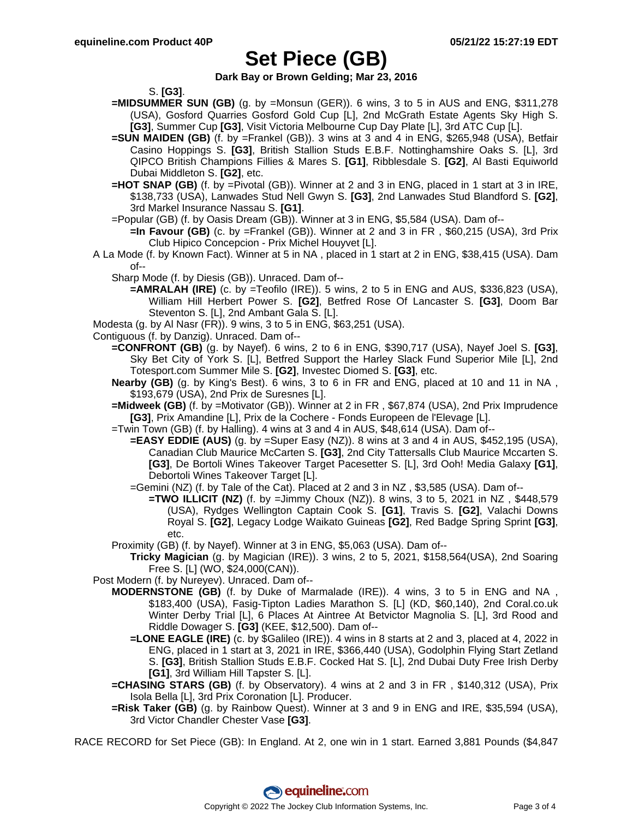**Dark Bay or Brown Gelding; Mar 23, 2016**

S. **[G3]**.

- **=MIDSUMMER SUN (GB)** (g. by =Monsun (GER)). 6 wins, 3 to 5 in AUS and ENG, \$311,278 (USA), Gosford Quarries Gosford Gold Cup [L], 2nd McGrath Estate Agents Sky High S. **[G3]**, Summer Cup **[G3]**, Visit Victoria Melbourne Cup Day Plate [L], 3rd ATC Cup [L].
- **=SUN MAIDEN (GB)** (f. by =Frankel (GB)). 3 wins at 3 and 4 in ENG, \$265,948 (USA), Betfair Casino Hoppings S. **[G3]**, British Stallion Studs E.B.F. Nottinghamshire Oaks S. [L], 3rd QIPCO British Champions Fillies & Mares S. **[G1]**, Ribblesdale S. **[G2]**, Al Basti Equiworld Dubai Middleton S. **[G2]**, etc.
- **=HOT SNAP (GB)** (f. by =Pivotal (GB)). Winner at 2 and 3 in ENG, placed in 1 start at 3 in IRE, \$138,733 (USA), Lanwades Stud Nell Gwyn S. **[G3]**, 2nd Lanwades Stud Blandford S. **[G2]**, 3rd Markel Insurance Nassau S. **[G1]**.
- =Popular (GB) (f. by Oasis Dream (GB)). Winner at 3 in ENG, \$5,584 (USA). Dam of--
	- **=In Favour (GB)** (c. by =Frankel (GB)). Winner at 2 and 3 in FR , \$60,215 (USA), 3rd Prix Club Hipico Concepcion - Prix Michel Houyvet [L].
- A La Mode (f. by Known Fact). Winner at 5 in NA , placed in 1 start at 2 in ENG, \$38,415 (USA). Dam of--
	- Sharp Mode (f. by Diesis (GB)). Unraced. Dam of--
		- **=AMRALAH (IRE)** (c. by =Teofilo (IRE)). 5 wins, 2 to 5 in ENG and AUS, \$336,823 (USA), William Hill Herbert Power S. **[G2]**, Betfred Rose Of Lancaster S. **[G3]**, Doom Bar Steventon S. [L], 2nd Ambant Gala S. [L].
- Modesta (g. by Al Nasr (FR)). 9 wins, 3 to 5 in ENG, \$63,251 (USA).
- Contiguous (f. by Danzig). Unraced. Dam of--
	- **=CONFRONT (GB)** (g. by Nayef). 6 wins, 2 to 6 in ENG, \$390,717 (USA), Nayef Joel S. **[G3]**, Sky Bet City of York S. [L], Betfred Support the Harley Slack Fund Superior Mile [L], 2nd Totesport.com Summer Mile S. **[G2]**, Investec Diomed S. **[G3]**, etc.
	- **Nearby (GB)** (g. by King's Best). 6 wins, 3 to 6 in FR and ENG, placed at 10 and 11 in NA , \$193,679 (USA), 2nd Prix de Suresnes [L].
	- **=Midweek (GB)** (f. by =Motivator (GB)). Winner at 2 in FR , \$67,874 (USA), 2nd Prix Imprudence **[G3]**, Prix Amandine [L], Prix de la Cochere - Fonds Europeen de l'Elevage [L].
	- =Twin Town (GB) (f. by Halling). 4 wins at 3 and 4 in AUS, \$48,614 (USA). Dam of--
		- **=EASY EDDIE (AUS)** (g. by =Super Easy (NZ)). 8 wins at 3 and 4 in AUS, \$452,195 (USA), Canadian Club Maurice McCarten S. **[G3]**, 2nd City Tattersalls Club Maurice Mccarten S. **[G3]**, De Bortoli Wines Takeover Target Pacesetter S. [L], 3rd Ooh! Media Galaxy **[G1]**, Debortoli Wines Takeover Target [L].
		- =Gemini (NZ) (f. by Tale of the Cat). Placed at 2 and 3 in NZ , \$3,585 (USA). Dam of--
			- **=TWO ILLICIT (NZ)** (f. by =Jimmy Choux (NZ)). 8 wins, 3 to 5, 2021 in NZ, \$448,579 (USA), Rydges Wellington Captain Cook S. **[G1]**, Travis S. **[G2]**, Valachi Downs Royal S. **[G2]**, Legacy Lodge Waikato Guineas **[G2]**, Red Badge Spring Sprint **[G3]**, etc.
	- Proximity (GB) (f. by Nayef). Winner at 3 in ENG, \$5,063 (USA). Dam of--
		- **Tricky Magician** (g. by Magician (IRE)). 3 wins, 2 to 5, 2021, \$158,564(USA), 2nd Soaring Free S. [L] (WO, \$24,000(CAN)).
- Post Modern (f. by Nureyev). Unraced. Dam of--
	- **MODERNSTONE (GB)** (f. by Duke of Marmalade (IRE)). 4 wins, 3 to 5 in ENG and NA , \$183,400 (USA), Fasig-Tipton Ladies Marathon S. [L] (KD, \$60,140), 2nd Coral.co.uk Winter Derby Trial [L], 6 Places At Aintree At Betvictor Magnolia S. [L], 3rd Rood and Riddle Dowager S. **[G3]** (KEE, \$12,500). Dam of--
		- **=LONE EAGLE (IRE)** (c. by \$Galileo (IRE)). 4 wins in 8 starts at 2 and 3, placed at 4, 2022 in ENG, placed in 1 start at 3, 2021 in IRE, \$366,440 (USA), Godolphin Flying Start Zetland S. **[G3]**, British Stallion Studs E.B.F. Cocked Hat S. [L], 2nd Dubai Duty Free Irish Derby **[G1]**, 3rd William Hill Tapster S. [L].
	- **=CHASING STARS (GB)** (f. by Observatory). 4 wins at 2 and 3 in FR , \$140,312 (USA), Prix Isola Bella [L], 3rd Prix Coronation [L]. Producer.
	- **=Risk Taker (GB)** (g. by Rainbow Quest). Winner at 3 and 9 in ENG and IRE, \$35,594 (USA), 3rd Victor Chandler Chester Vase **[G3]**.
- RACE RECORD for Set Piece (GB): In England. At 2, one win in 1 start. Earned 3,881 Pounds (\$4,847